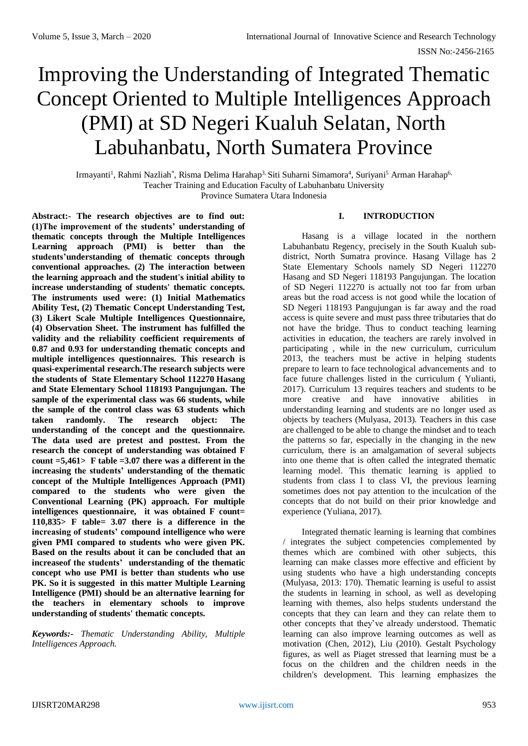# Improving the Understanding of Integrated Thematic Concept Oriented to Multiple Intelligences Approach (PMI) at SD Negeri Kualuh Selatan, North Labuhanbatu, North Sumatera Province

Irmayanti<sup>1</sup>, Rahmi Nazliah\*, Risma Delima Harahap<sup>3,</sup> Siti Suharni Simamora<sup>4</sup>, Suriyani<sup>5</sup> Arman Harahap<sup>6,</sup> Teacher Training and Education Faculty of Labuhanbatu University Province Sumatera Utara Indonesia

**Abstract:- The research objectives are to find out: (1)The improvement of the students' understanding of thematic concepts through the Multiple Intelligences Learning approach (PMI) is better than the students'understanding of thematic concepts through conventional approaches. (2) The interaction between the learning approach and the student's initial ability to increase understanding of students' thematic concepts. The instruments used were: (1) Initial Mathematics Ability Test, (2) Thematic Concept Understanding Test, (3) Likert Scale Multiple Intelligences Questionnaire, (4) Observation Sheet. The instrument has fulfilled the validity and the reliability coefficient requirements of 0.87 and 0.93 for understanding thematic concepts and multiple intelligences questionnaires. This research is quasi-experimental research.The research subjects were the students of State Elementary School 112270 Hasang and State Elementary School 118193 Pangujungan. The sample of the experimental class was 66 students, while the sample of the control class was 63 students which taken randomly. The research object: The understanding of the concept and the questionnaire. The data used are pretest and posttest. From the research the concept of understanding was obtained F count =5,461> F table =3.07 there was a different in the increasing the students' understanding of the thematic concept of the Multiple Intelligences Approach (PMI) compared to the students who were given the Conventional Learning (PK) approach. For multiple intelligences questionnaire, it was obtained F count= 110,835> F table= 3.07 there is a difference in the increasing of students' compound intelligence who were given PMI compared to students who were given PK. Based on the results about it can be concluded that an increaseof the students' understanding of the thematic concept who use PMI is better than students who use PK. So it is suggested in this matter Multiple Learning Intelligence (PMI) should be an alternative learning for the teachers in elementary schools to improve understanding of students' thematic concepts.**

*Keywords:- Thematic Understanding Ability, Multiple Intelligences Approach.*

## **I. INTRODUCTION**

Hasang is a village located in the northern Labuhanbatu Regency, precisely in the South Kualuh subdistrict, North Sumatra province. Hasang Village has 2 State Elementary Schools namely SD Negeri 112270 Hasang and SD Negeri 118193 Pangujungan. The location of SD Negeri 112270 is actually not too far from urban areas but the road access is not good while the location of SD Negeri 118193 Pangujungan is far away and the road access is quite severe and must pass three tributaries that do not have the bridge. Thus to conduct teaching learning activities in education, the teachers are rarely involved in participating , while in the new curriculum, curriculum 2013, the teachers must be active in helping students prepare to learn to face technological advancements and to face future challenges listed in the curriculum ( Yulianti, 2017). Curriculum 13 requires teachers and students to be more creative and have innovative abilities in understanding learning and students are no longer used as objects by teachers (Mulyasa, 2013). Teachers in this case are challenged to be able to change the mindset and to teach the patterns so far, especially in the changing in the new curriculum, there is an amalgamation of several subjects into one theme that is often called the integrated thematic learning model. This thematic learning is applied to students from class I to class VI, the previous learning sometimes does not pay attention to the inculcation of the concepts that do not build on their prior knowledge and experience (Yuliana, 2017).

Integrated thematic learning is learning that combines / integrates the subject competencies complemented by themes which are combined with other subjects, this learning can make classes more effective and efficient by using students who have a high understanding concepts (Mulyasa, 2013: 170). Thematic learning is useful to assist the students in learning in school, as well as developing learning with themes, also helps students understand the concepts that they can learn and they can relate them to other concepts that they've already understood. Thematic learning can also improve learning outcomes as well as motivation (Chen, 2012), Liu (2010). Gestalt Psychology figures, as well as Piaget stressed that learning must be a focus on the children and the children needs in the children's development. This learning emphasizes the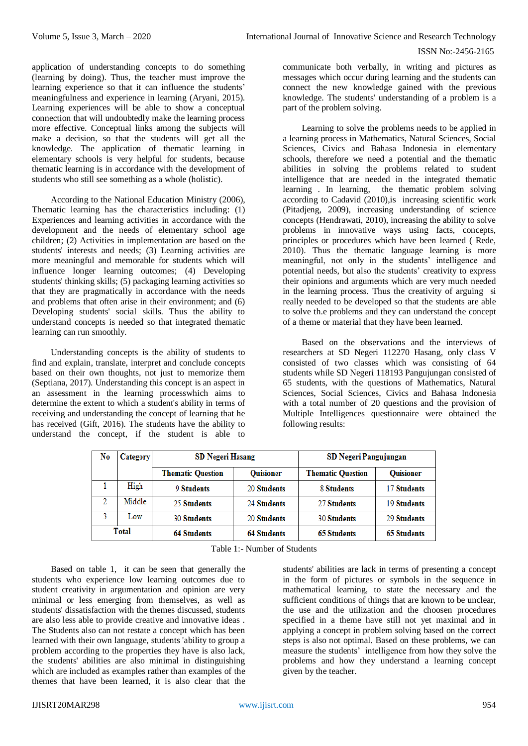application of understanding concepts to do something (learning by doing). Thus, the teacher must improve the learning experience so that it can influence the students' meaningfulness and experience in learning (Aryani, 2015). Learning experiences will be able to show a conceptual connection that will undoubtedly make the learning process more effective. Conceptual links among the subjects will make a decision, so that the students will get all the knowledge. The application of thematic learning in elementary schools is very helpful for students, because thematic learning is in accordance with the development of students who still see something as a whole (holistic).

According to the National Education Ministry (2006), Thematic learning has the characteristics including: (1) Experiences and learning activities in accordance with the development and the needs of elementary school age children; (2) Activities in implementation are based on the students' interests and needs; (3) Learning activities are more meaningful and memorable for students which will influence longer learning outcomes; (4) Developing students' thinking skills; (5) packaging learning activities so that they are pragmatically in accordance with the needs and problems that often arise in their environment; and (6) Developing students' social skills. Thus the ability to understand concepts is needed so that integrated thematic learning can run smoothly.

Understanding concepts is the ability of students to find and explain, translate, interpret and conclude concepts based on their own thoughts, not just to memorize them (Septiana, 2017). Understanding this concept is an aspect in an assessment in the learning processwhich aims to determine the extent to which a student's ability in terms of receiving and understanding the concept of learning that he has received (Gift, 2016). The students have the ability to understand the concept, if the student is able to

communicate both verbally, in writing and pictures as messages which occur during learning and the students can connect the new knowledge gained with the previous knowledge. The students' understanding of a problem is a part of the problem solving.

Learning to solve the problems needs to be applied in a learning process in Mathematics, Natural Sciences, Social Sciences, Civics and Bahasa Indonesia in elementary schools, therefore we need a potential and the thematic abilities in solving the problems related to student intelligence that are needed in the integrated thematic learning . In learning, the thematic problem solving according to Cadavid (2010),is increasing scientific work (Pitadjeng, 2009), increasing understanding of science concepts (Hendrawati, 2010), increasing the ability to solve problems in innovative ways using facts, concepts, principles or procedures which have been learned ( Rede, 2010). Thus the thematic language learning is more meaningful, not only in the students' intelligence and potential needs, but also the students' creativity to express their opinions and arguments which are very much needed in the learning process. Thus the creativity of arguing si really needed to be developed so that the students are able to solve th.e problems and they can understand the concept of a theme or material that they have been learned.

Based on the observations and the interviews of researchers at SD Negeri 112270 Hasang, only class V consisted of two classes which was consisting of 64 students while SD Negeri 118193 Pangujungan consisted of 65 students, with the questions of Mathematics, Natural Sciences, Social Sciences, Civics and Bahasa Indonesia with a total number of 20 questions and the provision of Multiple Intelligences questionnaire were obtained the following results:

| No    | Category | <b>SD Negeri Hasang</b>                      |                    | SD Negeri Pangujungan    |                    |  |
|-------|----------|----------------------------------------------|--------------------|--------------------------|--------------------|--|
|       |          | <b>Quisioner</b><br><b>Thematic Question</b> |                    | <b>Thematic Question</b> | <b>Quisioner</b>   |  |
|       | High     | 9 Students                                   | 20 Students        | 8 Students               | <b>17 Students</b> |  |
|       | Middle   | 25 Students                                  | 24 Students        | 27 Students              | <b>19 Students</b> |  |
|       | Low      | <b>30 Students</b>                           | 20 Students        | <b>30 Students</b>       | 29 Students        |  |
| Total |          | <b>64 Students</b>                           | <b>64 Students</b> | <b>65 Students</b>       | <b>65 Students</b> |  |

Table 1:- Number of Students

Based on table 1, it can be seen that generally the students who experience low learning outcomes due to student creativity in argumentation and opinion are very minimal or less emerging from themselves, as well as students' dissatisfaction with the themes discussed, students are also less able to provide creative and innovative ideas . The Students also can not restate a concept which has been learned with their own language, students 'ability to group a problem according to the properties they have is also lack, the students' abilities are also minimal in distinguishing which are included as examples rather than examples of the themes that have been learned, it is also clear that the

students' abilities are lack in terms of presenting a concept in the form of pictures or symbols in the sequence in mathematical learning, to state the necessary and the sufficient conditions of things that are known to be unclear, the use and the utilization and the choosen procedures specified in a theme have still not yet maximal and in applying a concept in problem solving based on the correct steps is also not optimal. Based on these problems, we can measure the students' intelligence from how they solve the problems and how they understand a learning concept given by the teacher.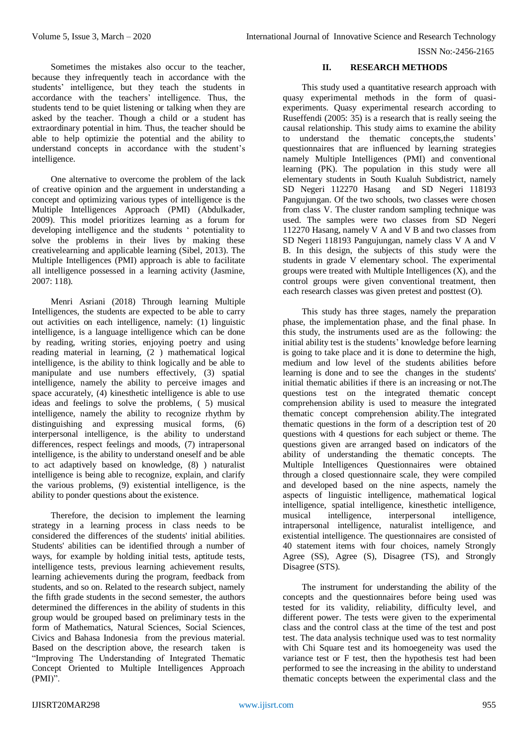ISSN No:-2456-2165

Sometimes the mistakes also occur to the teacher, because they infrequently teach in accordance with the students' intelligence, but they teach the students in accordance with the teachers' intelligence. Thus, the students tend to be quiet listening or talking when they are asked by the teacher. Though a child or a student has extraordinary potential in him. Thus, the teacher should be able to help optimizie the potential and the ability to understand concepts in accordance with the student's intelligence.

One alternative to overcome the problem of the lack of creative opinion and the arguement in understanding a concept and optimizing various types of intelligence is the Multiple Intelligences Approach (PMI) (Abdulkader, 2009). This model prioritizes learning as a forum for developing intelligence and the students ' potentiality to solve the problems in their lives by making these creativelearning and applicable learning (Sibel, 2013). The Multiple Intelligences (PMI) approach is able to facilitate all intelligence possessed in a learning activity (Jasmine, 2007: 118).

Menri Asriani (2018) Through learning Multiple Intelligences, the students are expected to be able to carry out activities on each intelligence, namely: (1) linguistic intelligence, is a language intelligence which can be done by reading, writing stories, enjoying poetry and using reading material in learning, (2 ) mathematical logical intelligence, is the ability to think logically and be able to manipulate and use numbers effectively, (3) spatial intelligence, namely the ability to perceive images and space accurately, (4) kinesthetic intelligence is able to use ideas and feelings to solve the problems, ( 5) musical intelligence, namely the ability to recognize rhythm by distinguishing and expressing musical forms, (6) interpersonal intelligence, is the ability to understand differences, respect feelings and moods, (7) intrapersonal intelligence, is the ability to understand oneself and be able to act adaptively based on knowledge, (8) ) naturalist intelligence is being able to recognize, explain, and clarify the various problems, (9) existential intelligence, is the ability to ponder questions about the existence.

Therefore, the decision to implement the learning strategy in a learning process in class needs to be considered the differences of the students' initial abilities. Students' abilities can be identified through a number of ways, for example by holding initial tests, aptitude tests, intelligence tests, previous learning achievement results, learning achievements during the program, feedback from students, and so on. Related to the research subject, namely the fifth grade students in the second semester, the authors determined the differences in the ability of students in this group would be grouped based on preliminary tests in the form of Mathematics, Natural Sciences, Social Sciences, Civics and Bahasa Indonesia from the previous material. Based on the description above, the research taken is "Improving The Understanding of Integrated Thematic Concept Oriented to Multiple Intelligences Approach (PMI)".

#### **II. RESEARCH METHODS**

This study used a quantitative research approach with quasy experimental methods in the form of quasiexperiments. Quasy experimental research according to Ruseffendi (2005: 35) is a research that is really seeing the causal relationship. This study aims to examine the ability to understand the thematic concepts,the students' questionnaires that are influenced by learning strategies namely Multiple Intelligences (PMI) and conventional learning (PK). The population in this study were all elementary students in South Kualuh Subdistrict, namely SD Negeri 112270 Hasang and SD Negeri 118193 Pangujungan. Of the two schools, two classes were chosen from class V. The cluster random sampling technique was used. The samples were two classes from SD Negeri 112270 Hasang, namely V A and V B and two classes from SD Negeri 118193 Pangujungan, namely class V A and V B. In this design, the subjects of this study were the students in grade V elementary school. The experimental groups were treated with Multiple Intelligences  $(X)$ , and the control groups were given conventional treatment, then each research classes was given pretest and posttest (O).

This study has three stages, namely the preparation phase, the implementation phase, and the final phase. In this study, the instruments used are as the following: the initial ability test is the students' knowledge before learning is going to take place and it is done to determine the high, medium and low level of the students abilities before learning is done and to see the changes in the students' initial thematic abilities if there is an increasing or not.The questions test on the integrated thematic concept comprehension ability is used to measure the integrated thematic concept comprehension ability.The integrated thematic questions in the form of a description test of 20 questions with 4 questions for each subject or theme. The questions given are arranged based on indicators of the ability of understanding the thematic concepts. The Multiple Intelligences Questionnaires were obtained through a closed questionnaire scale, they were compiled and developed based on the nine aspects, namely the aspects of linguistic intelligence, mathematical logical intelligence, spatial intelligence, kinesthetic intelligence, musical intelligence, interpersonal intelligence, intrapersonal intelligence, naturalist intelligence, and existential intelligence. The questionnaires are consisted of 40 statement items with four choices, namely Strongly Agree (SS), Agree (S), Disagree (TS), and Strongly Disagree (STS).

The instrument for understanding the ability of the concepts and the questionnaires before being used was tested for its validity, reliability, difficulty level, and different power. The tests were given to the experimental class and the control class at the time of the test and post test. The data analysis technique used was to test normality with Chi Square test and its homoegeneity was used the variance test or F test, then the hypothesis test had been performed to see the increasing in the ability to understand thematic concepts between the experimental class and the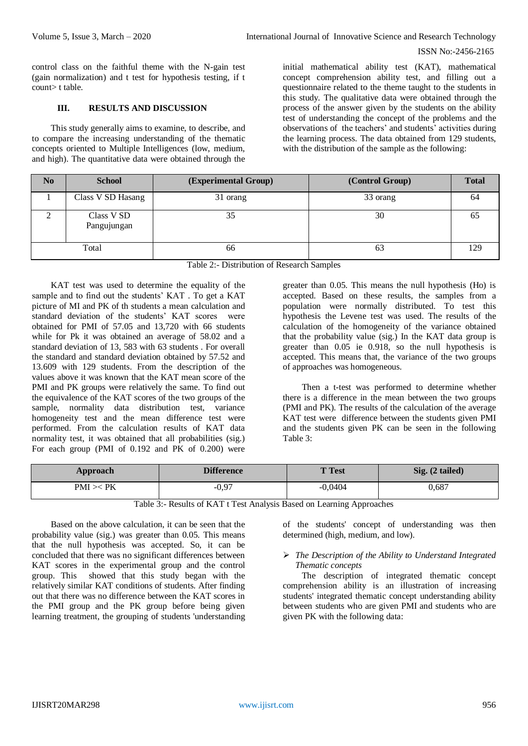control class on the faithful theme with the N-gain test (gain normalization) and t test for hypothesis testing, if t count> t table.

#### **III. RESULTS AND DISCUSSION**

This study generally aims to examine, to describe, and to compare the increasing understanding of the thematic concepts oriented to Multiple Intelligences (low, medium, and high). The quantitative data were obtained through the initial mathematical ability test (KAT), mathematical concept comprehension ability test, and filling out a questionnaire related to the theme taught to the students in this study. The qualitative data were obtained through the process of the answer given by the students on the ability test of understanding the concept of the problems and the observations of the teachers' and students' activities during the learning process. The data obtained from 129 students, with the distribution of the sample as the following:

| N <sub>0</sub> | <b>School</b>             | (Experimental Group) | (Control Group) | <b>Total</b> |
|----------------|---------------------------|----------------------|-----------------|--------------|
|                | Class V SD Hasang         | 31 orang             | 33 orang        | 64           |
|                | Class V SD<br>Pangujungan | 35                   | 30              | 02           |
|                | Total                     | 66                   | 63              | 129          |

| Table 2:- Distribution of Research Samples |  |
|--------------------------------------------|--|
|                                            |  |

KAT test was used to determine the equality of the sample and to find out the students' KAT . To get a KAT picture of MI and PK of th students a mean calculation and standard deviation of the students' KAT scores were obtained for PMI of 57.05 and 13,720 with 66 students while for Pk it was obtained an average of 58.02 and a standard deviation of 13, 583 with 63 students . For overall the standard and standard deviation obtained by 57.52 and 13.609 with 129 students. From the description of the values above it was known that the KAT mean score of the PMI and PK groups were relatively the same. To find out the equivalence of the KAT scores of the two groups of the sample, normality data distribution test, variance homogeneity test and the mean difference test were performed. From the calculation results of KAT data normality test, it was obtained that all probabilities (sig.) For each group (PMI of 0.192 and PK of 0.200) were

greater than 0.05. This means the null hypothesis (Ho) is accepted. Based on these results, the samples from a population were normally distributed. To test this hypothesis the Levene test was used. The results of the calculation of the homogeneity of the variance obtained that the probability value (sig.) In the KAT data group is greater than 0.05 ie 0.918, so the null hypothesis is accepted. This means that, the variance of the two groups of approaches was homogeneous.

Then a t-test was performed to determine whether there is a difference in the mean between the two groups (PMI and PK). The results of the calculation of the average KAT test were difference between the students given PMI and the students given PK can be seen in the following Table 3:

| Approach        | <b>Difference</b> | <b>T</b> Test | Sig. (2 tailed) |
|-----------------|-------------------|---------------|-----------------|
| $PMI \times PK$ | $-0,97$           | $-0.0404$     | 0,687           |

Table 3:- Results of KAT t Test Analysis Based on Learning Approaches

Based on the above calculation, it can be seen that the probability value (sig.) was greater than 0.05. This means that the null hypothesis was accepted. So, it can be concluded that there was no significant differences between KAT scores in the experimental group and the control group. This showed that this study began with the relatively similar KAT conditions of students. After finding out that there was no difference between the KAT scores in the PMI group and the PK group before being given learning treatment, the grouping of students 'understanding of the students' concept of understanding was then determined (high, medium, and low).

#### *The Description of the Ability to Understand Integrated Thematic concepts*

The description of integrated thematic concept comprehension ability is an illustration of increasing students' integrated thematic concept understanding ability between students who are given PMI and students who are given PK with the following data: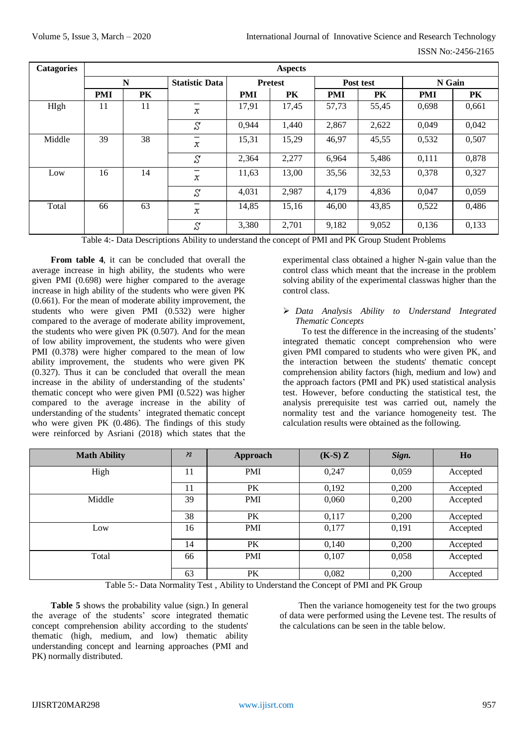| <b>Catagories</b> |            | <b>Aspects</b> |                               |            |                |            |           |            |        |  |
|-------------------|------------|----------------|-------------------------------|------------|----------------|------------|-----------|------------|--------|--|
|                   |            | N              | <b>Statistic Data</b>         |            | <b>Pretest</b> |            | Post test |            | N Gain |  |
|                   | <b>PMI</b> | PK             |                               | <b>PMI</b> | PK             | <b>PMI</b> | PK        | <b>PMI</b> | PK.    |  |
| HIgh              | 11         | 11             | х                             | 17,91      | 17,45          | 57,73      | 55,45     | 0.698      | 0,661  |  |
|                   |            |                | S                             | 0,944      | 1,440          | 2,867      | 2,622     | 0,049      | 0,042  |  |
| Middle            | 39         | 38             | х                             | 15,31      | 15,29          | 46,97      | 45,55     | 0,532      | 0,507  |  |
|                   |            |                | γ                             | 2,364      | 2,277          | 6,964      | 5,486     | 0,111      | 0,878  |  |
| Low               | 16         | 14             | $\overline{\phantom{m}}$<br>х | 11,63      | 13,00          | 35,56      | 32,53     | 0,378      | 0,327  |  |
|                   |            |                | S                             | 4,031      | 2,987          | 4,179      | 4,836     | 0,047      | 0,059  |  |
| Total             | 66         | 63             | x                             | 14,85      | 15,16          | 46,00      | 43,85     | 0,522      | 0,486  |  |
|                   |            |                | S                             | 3,380      | 2,701          | 9,182      | 9,052     | 0,136      | 0,133  |  |

Table 4:- Data Descriptions Ability to understand the concept of PMI and PK Group Student Problems

**From table 4**, it can be concluded that overall the average increase in high ability, the students who were given PMI (0.698) were higher compared to the average increase in high ability of the students who were given PK (0.661). For the mean of moderate ability improvement, the students who were given PMI (0.532) were higher compared to the average of moderate ability improvement, the students who were given PK (0.507). And for the mean of low ability improvement, the students who were given PMI (0.378) were higher compared to the mean of low ability improvement, the students who were given PK (0.327). Thus it can be concluded that overall the mean increase in the ability of understanding of the students' thematic concept who were given PMI (0.522) was higher compared to the average increase in the ability of understanding of the students' integrated thematic concept who were given PK (0.486). The findings of this study were reinforced by Asriani (2018) which states that the experimental class obtained a higher N-gain value than the control class which meant that the increase in the problem solving ability of the experimental classwas higher than the control class.

### *Data Analysis Ability to Understand Integrated Thematic Concepts*

To test the difference in the increasing of the students' integrated thematic concept comprehension who were given PMI compared to students who were given PK, and the interaction between the students' thematic concept comprehension ability factors (high, medium and low) and the approach factors (PMI and PK) used statistical analysis test. However, before conducting the statistical test, the analysis prerequisite test was carried out, namely the normality test and the variance homogeneity test. The calculation results were obtained as the following.

| <b>Math Ability</b> | $\boldsymbol{n}$ | Approach   | $(K-S)Z$ | Sign. | Ho       |
|---------------------|------------------|------------|----------|-------|----------|
| High                | 11               | <b>PMI</b> | 0,247    | 0,059 | Accepted |
|                     | 11               | PK         | 0,192    | 0,200 | Accepted |
| Middle              | 39               | <b>PMI</b> | 0,060    | 0,200 | Accepted |
|                     | 38               | PK         | 0,117    | 0,200 | Accepted |
| Low                 | 16               | <b>PMI</b> | 0,177    | 0,191 | Accepted |
|                     | 14               | PK         | 0,140    | 0,200 | Accepted |
| Total               | 66               | <b>PMI</b> | 0,107    | 0,058 | Accepted |
|                     | 63               | PK         | 0,082    | 0,200 | Accepted |

Table 5:- Data Normality Test , Ability to Understand the Concept of PMI and PK Group

**Table 5** shows the probability value (sign.) In general the average of the students' score integrated thematic concept comprehension ability according to the students' thematic (high, medium, and low) thematic ability understanding concept and learning approaches (PMI and PK) normally distributed.

Then the variance homogeneity test for the two groups of data were performed using the Levene test. The results of the calculations can be seen in the table below.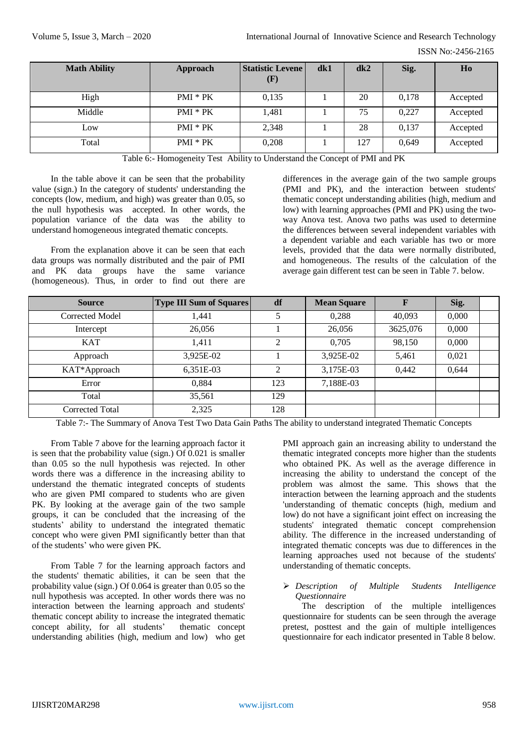| <b>Math Ability</b> | Approach   | <b>Statistic Levene</b><br>(F) | dk1 | dk2 | Sig.  | Ho       |
|---------------------|------------|--------------------------------|-----|-----|-------|----------|
| High                | $PMI * PK$ | 0,135                          |     | 20  | 0,178 | Accepted |
| Middle              | PMI * PK   | 1,481                          |     | 75  | 0,227 | Accepted |
| Low                 | $PMI * PK$ | 2,348                          |     | 28  | 0,137 | Accepted |
| Total               | $PMI * PK$ | 0,208                          |     | 127 | 0,649 | Accepted |

Table 6:- Homogeneity Test Ability to Understand the Concept of PMI and PK

In the table above it can be seen that the probability value (sign.) In the category of students' understanding the concepts (low, medium, and high) was greater than 0.05, so the null hypothesis was accepted. In other words, the population variance of the data was the ability to understand homogeneous integrated thematic concepts.

From the explanation above it can be seen that each data groups was normally distributed and the pair of PMI and PK data groups have the same variance (homogeneous). Thus, in order to find out there are differences in the average gain of the two sample groups (PMI and PK), and the interaction between students' thematic concept understanding abilities (high, medium and low) with learning approaches (PMI and PK) using the twoway Anova test. Anova two paths was used to determine the differences between several independent variables with a dependent variable and each variable has two or more levels, provided that the data were normally distributed, and homogeneous. The results of the calculation of the average gain different test can be seen in Table 7. below.

| <b>Source</b>   | <b>Type III Sum of Squares</b> | df  | <b>Mean Square</b> | $\mathbf F$ | Sig.  |  |
|-----------------|--------------------------------|-----|--------------------|-------------|-------|--|
| Corrected Model | 1,441                          |     | 0,288              | 40,093      | 0,000 |  |
| Intercept       | 26,056                         |     | 26,056             | 3625,076    | 0,000 |  |
| KAT             | 1,411                          | ↑   | 0.705              | 98,150      | 0,000 |  |
| Approach        | 3,925E-02                      |     | 3,925E-02          | 5,461       | 0,021 |  |
| KAT*Approach    | 6,351E-03                      | ↑   | 3,175E-03          | 0,442       | 0,644 |  |
| Error           | 0.884                          | 123 | 7,188E-03          |             |       |  |
| Total           | 35,561                         | 129 |                    |             |       |  |
| Corrected Total | 2,325                          | 128 |                    |             |       |  |

Table 7:- The Summary of Anova Test Two Data Gain Paths The ability to understand integrated Thematic Concepts

From Table 7 above for the learning approach factor it is seen that the probability value (sign.) Of 0.021 is smaller than 0.05 so the null hypothesis was rejected. In other words there was a difference in the increasing ability to understand the thematic integrated concepts of students who are given PMI compared to students who are given PK. By looking at the average gain of the two sample groups, it can be concluded that the increasing of the students' ability to understand the integrated thematic concept who were given PMI significantly better than that of the students' who were given PK.

From Table 7 for the learning approach factors and the students' thematic abilities, it can be seen that the probability value (sign.) Of 0.064 is greater than 0.05 so the null hypothesis was accepted. In other words there was no interaction between the learning approach and students' thematic concept ability to increase the integrated thematic concept ability, for all students' thematic concept understanding abilities (high, medium and low) who get

PMI approach gain an increasing ability to understand the thematic integrated concepts more higher than the students who obtained PK. As well as the average difference in increasing the ability to understand the concept of the problem was almost the same. This shows that the interaction between the learning approach and the students 'understanding of thematic concepts (high, medium and low) do not have a significant joint effect on increasing the students' integrated thematic concept comprehension ability. The difference in the increased understanding of integrated thematic concepts was due to differences in the learning approaches used not because of the students' understanding of thematic concepts.

#### *Description of Multiple Students Intelligence Questionnaire*

The description of the multiple intelligences questionnaire for students can be seen through the average pretest, posttest and the gain of multiple intelligences questionnaire for each indicator presented in Table 8 below.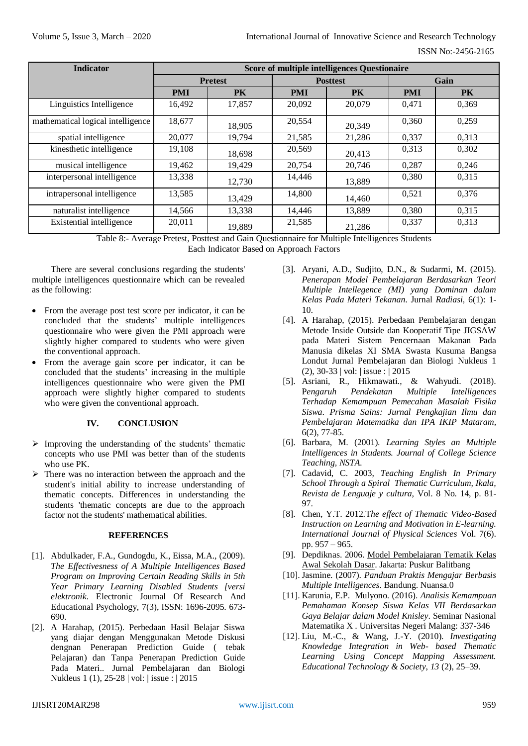| <b>Indicator</b>                  | <b>Score of multiple intelligences Questionaire</b> |        |            |                 |            |           |  |  |
|-----------------------------------|-----------------------------------------------------|--------|------------|-----------------|------------|-----------|--|--|
|                                   | <b>Pretest</b>                                      |        |            | <b>Posttest</b> | Gain       |           |  |  |
|                                   | <b>PMI</b>                                          | PK     | <b>PMI</b> | <b>PK</b>       | <b>PMI</b> | <b>PK</b> |  |  |
| Linguistics Intelligence          | 16.492                                              | 17.857 | 20,092     | 20,079          | 0.471      | 0.369     |  |  |
| mathematical logical intelligence | 18,677                                              | 18,905 | 20,554     | 20,349          | 0.360      | 0,259     |  |  |
| spatial intelligence              | 20,077                                              | 19,794 | 21,585     | 21,286          | 0.337      | 0,313     |  |  |
| kinesthetic intelligence          | 19,108                                              | 18,698 | 20,569     | 20.413          | 0,313      | 0,302     |  |  |
| musical intelligence              | 19,462                                              | 19,429 | 20,754     | 20,746          | 0.287      | 0,246     |  |  |
| interpersonal intelligence        | 13,338                                              | 12.730 | 14,446     | 13,889          | 0,380      | 0,315     |  |  |
| intrapersonal intelligence        | 13,585                                              | 13.429 | 14,800     | 14,460          | 0.521      | 0.376     |  |  |
| naturalist intelligence           | 14,566                                              | 13,338 | 14,446     | 13,889          | 0.380      | 0,315     |  |  |
| Existential intelligence          | 20,011                                              | 19.889 | 21,585     | 21,286          | 0,337      | 0,313     |  |  |

Table 8:- Average Pretest, Posttest and Gain Questionnaire for Multiple Intelligences Students Each Indicator Based on Approach Factors

There are several conclusions regarding the students' multiple intelligences questionnaire which can be revealed as the following:

- From the average post test score per indicator, it can be concluded that the students' multiple intelligences questionnaire who were given the PMI approach were slightly higher compared to students who were given the conventional approach.
- From the average gain score per indicator, it can be concluded that the students' increasing in the multiple intelligences questionnaire who were given the PMI approach were slightly higher compared to students who were given the conventional approach.

#### **IV. CONCLUSION**

- $\triangleright$  Improving the understanding of the students' thematic concepts who use PMI was better than of the students who use PK.
- $\triangleright$  There was no interaction between the approach and the student's initial ability to increase understanding of thematic concepts. Differences in understanding the students 'thematic concepts are due to the approach factor not the students' mathematical abilities.

#### **REFERENCES**

- [1]. Abdulkader, F.A., Gundogdu, K., Eissa, M.A., (2009). *The Effectivesness of A Multiple Intelligences Based Program on Improving Certain Reading Skills in 5th Year Primary Learning Disabled Students [versi elektronik*. Electronic Journal Of Research And Educational Psychology, 7(3), ISSN: 1696-2095. 673- 690.
- [2]. A Harahap, (2015). Perbedaan Hasil Belajar Siswa yang diajar dengan Menggunakan Metode Diskusi dengnan Penerapan Prediction Guide ( tebak Pelajaran) dan Tanpa Penerapan Prediction Guide Pada Materi.. Jurnal Pembelajaran dan Biologi Nukleus 1 (1), 25-28 | vol: | issue : | 2015
- [3]. Aryani, A.D., Sudjito, D.N., & Sudarmi, M. (2015). *Penerapan Model Pembelajaran Berdasarkan Teori Multiple Intellegence (MI) yang Dominan dalam Kelas Pada Materi Tekanan*. Jurnal *Radiasi,* 6(1): 1- 10.
- [4]. A Harahap, (2015). Perbedaan Pembelajaran dengan Metode Inside Outside dan Kooperatif Tipe JIGSAW pada Materi Sistem Pencernaan Makanan Pada Manusia dikelas XI SMA Swasta Kusuma Bangsa Londut Jurnal Pembelajaran dan Biologi Nukleus 1 (2), 30-33 | vol: | issue : | 2015
- [5]. Asriani, R., Hikmawati., & Wahyudi. (2018). P*engaruh Pendekatan Multiple Intelligences Terhadap Kemampuan Pemecahan Masalah Fisika Siswa*. *Prisma Sains: Jurnal Pengkajian Ilmu dan Pembelajaran Matematika dan IPA IKIP Mataram,*  6(2), 77-85.
- [6]. Barbara, M. (2001). *Learning Styles an Multiple Intelligences in Students. Journal of College Science Teaching, NSTA.*
- [7]. Cadavid, C. 2003, *Teaching English In Primary School Through a Spiral Thematic Curriculum, Ikala, Revista de Lenguaje y cultura,* Vol. 8 No. 14, p. 81- 97.
- [8]. Chen, Y.T. 2012.T*he effect of Thematic Video-Based Instruction on Learning and Motivation in E-learning. International Journal of Physical Sciences* Vol. 7(6). pp. 957 – 965.
- [9]. Depdiknas. 2006. Model Pembelajaran Tematik Kelas Awal Sekolah Dasar. Jakarta: Puskur Balitbang
- [10]. Jasmine. (2007). *Panduan Praktis Mengajar Berbasis Multiple Intelligences*. Bandung. Nuansa.0
- [11]. Karunia, E.P. Mulyono. (2016). *Analisis Kemampuan Pemahaman Konsep Siswa Kelas VII Berdasarkan Gaya Belajar dalam Model Knisley*. Seminar Nasional Matematika X . Universitas Negeri Malang: 337-346
- [12]. Liu, M.-C., & Wang, J.-Y. (2010). *Investigating Knowledge Integration in Web- based Thematic Learning Using Concept Mapping Assessment. Educational Technology & Society*, *13* (2), 25–39.